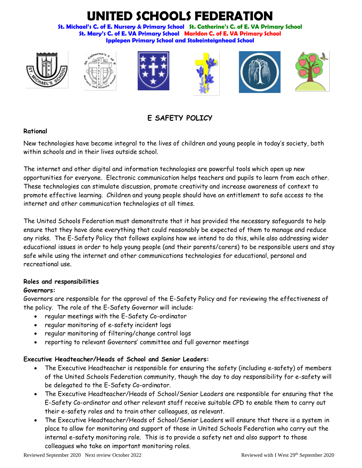# **UNITED SCHOOLS FEDERATION**

**St. Michael's C. of E. Nursery & Primary School St. Catherine's C. of E. VA Primary School St. Mary's C. of E. VA Primary School Marldon C. of E. VA Primary School Ipplepen Primary School and Stokeinteignhead School**













**E SAFETY POLICY**

# **Rational**

New technologies have become integral to the lives of children and young people in today's society, both within schools and in their lives outside school.

The internet and other digital and information technologies are powerful tools which open up new opportunities for everyone. Electronic communication helps teachers and pupils to learn from each other. These technologies can stimulate discussion, promote creativity and increase awareness of context to promote effective learning. Children and young people should have an entitlement to safe access to the internet and other communication technologies at all times.

The United Schools Federation must demonstrate that it has provided the necessary safeguards to help ensure that they have done everything that could reasonably be expected of them to manage and reduce any risks. The E-Safety Policy that follows explains how we intend to do this, while also addressing wider educational issues in order to help young people (and their parents/carers) to be responsible users and stay safe while using the internet and other communications technologies for educational, personal and recreational use.

#### **Roles and responsibilities**

## **Governors:**

Governors are responsible for the approval of the E-Safety Policy and for reviewing the effectiveness of the policy. The role of the E-Safety Governor will include:

- regular meetings with the E-Safety Co-ordinator
- regular monitoring of e-safety incident logs
- regular monitoring of filtering/change control logs
- reporting to relevant Governors' committee and full governor meetings

## **Executive Headteacher/Heads of School and Senior Leaders:**

- The Executive Headteacher is responsible for ensuring the safety (including e-safety) of members of the United Schools Federation community, though the day to day responsibility for e-safety will be delegated to the E-Safety Co-ordinator.
- The Executive Headteacher/Heads of School/Senior Leaders are responsible for ensuring that the E-Safety Co-ordinator and other relevant staff receive suitable CPD to enable them to carry out their e-safety roles and to train other colleagues, as relevant.
- The Executive Headteacher/Heads of School/Senior Leaders will ensure that there is a system in place to allow for monitoring and support of those in United Schools Federation who carry out the internal e-safety monitoring role. This is to provide a safety net and also support to those colleagues who take on important monitoring roles.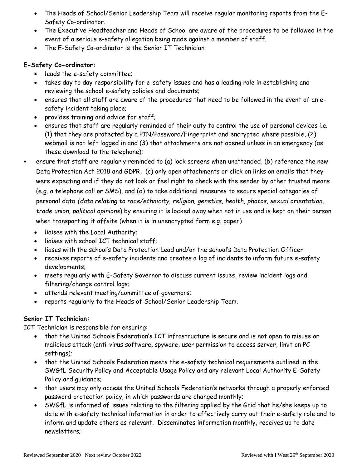- The Heads of School/Senior Leadership Team will receive regular monitoring reports from the E-Safety Co-ordinator.
- The Executive Headteacher and Heads of School are aware of the procedures to be followed in the event of a serious e-safety allegation being made against a member of staff.
- The E-Safety Co-ordinator is the Senior IT Technician.

## **E-Safety Co-ordinator:**

- leads the e-safety committee;
- takes day to day responsibility for e-safety issues and has a leading role in establishing and reviewing the school e-safety policies and documents;
- ensures that all staff are aware of the procedures that need to be followed in the event of an esafety incident taking place;
- provides training and advice for staff;
- ensures that staff are regularly reminded of their duty to control the use of personal devices i.e. (1) that they are protected by a PIN/Password/Fingerprint and encrypted where possible, (2) webmail is not left logged in and (3) that attachments are not opened unless in an emergency (as these download to the telephone);
- ensure that staff are regularly reminded to (a) lock screens when unattended, (b) reference the new Data Protection Act 2018 and GDPR, (c) only open attachments or click on links on emails that they were expecting and if they do not look or feel right to check with the sender by other trusted means (e.g. a telephone call or SMS), and (d) to take additional measures to secure special categories of personal data *(data relating to race/ethnicity, religion, genetics, health, photos, sexual orientation, trade union, political opinions*) by ensuring it is locked away when not in use and is kept on their person when transporting it offsite (when it is in unencrypted form e.g. paper)
	- liaises with the Local Authority;
	- liaises with school ICT technical staff;
	- liases with the school's Data Protection Lead and/or the school's Data Protection Officer
	- receives reports of e-safety incidents and creates a log of incidents to inform future e-safety developments;
	- meets regularly with E-Safety Governor to discuss current issues, review incident logs and filtering/change control logs;
	- attends relevant meeting/committee of governors;
	- reports regularly to the Heads of School/Senior Leadership Team.

#### **Senior IT Technician:**

ICT Technician is responsible for ensuring:

- that the United Schools Federation's ICT infrastructure is secure and is not open to misuse or malicious attack (anti-virus software, spyware, user permission to access server, limit on PC settings);
- that the United Schools Federation meets the e-safety technical requirements outlined in the SWGfL Security Policy and Acceptable Usage Policy and any relevant Local Authority E-Safety Policy and guidance;
- that users may only access the United Schools Federation's networks through a properly enforced password protection policy, in which passwords are changed monthly;
- SWGfL is informed of issues relating to the filtering applied by the Grid that he/she keeps up to date with e-safety technical information in order to effectively carry out their e-safety role and to inform and update others as relevant. Disseminates information monthly, receives up to date newsletters;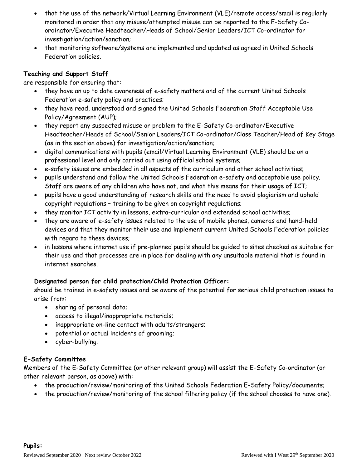- that the use of the network/Virtual Learning Environment (VLE)/remote access/email is regularly monitored in order that any misuse/attempted misuse can be reported to the E-Safety Coordinator/Executive Headteacher/Heads of School/Senior Leaders/ICT Co-ordinator for investigation/action/sanction;
- that monitoring software/systems are implemented and updated as agreed in United Schools Federation policies.

## **Teaching and Support Staff**

are responsible for ensuring that:

- they have an up to date awareness of e-safety matters and of the current United Schools Federation e-safety policy and practices;
- they have read, understood and signed the United Schools Federation Staff Acceptable Use Policy/Agreement (AUP);
- they report any suspected misuse or problem to the E-Safety Co-ordinator/Executive Headteacher/Heads of School/Senior Leaders/ICT Co-ordinator/Class Teacher/Head of Key Stage (as in the section above) for investigation/action/sanction;
- digital communications with pupils (email/Virtual Learning Environment (VLE) should be on a professional level and only carried out using official school systems;
- e-safety issues are embedded in all aspects of the curriculum and other school activities;
- pupils understand and follow the United Schools Federation e-safety and acceptable use policy. Staff are aware of any children who have not, and what this means for their usage of ICT;
- pupils have a good understanding of research skills and the need to avoid plagiarism and uphold copyright regulations – training to be given on copyright regulations;
- they monitor ICT activity in lessons, extra-curricular and extended school activities;
- they are aware of e-safety issues related to the use of mobile phones, cameras and hand-held devices and that they monitor their use and implement current United Schools Federation policies with regard to these devices;
- in lessons where internet use if pre-planned pupils should be guided to sites checked as suitable for their use and that processes are in place for dealing with any unsuitable material that is found in internet searches.

## **Designated person for child protection/Child Protection Officer:**

should be trained in e-safety issues and be aware of the potential for serious child protection issues to arise from:

- sharing of personal data;
- access to illegal/inappropriate materials;
- inappropriate on-line contact with adults/strangers;
- potential or actual incidents of grooming;
- cyber-bullying.

## **E-Safety Committee**

Members of the E-Safety Committee (or other relevant group) will assist the E-Safety Co-ordinator (or other relevant person, as above) with:

- the production/review/monitoring of the United Schools Federation E-Safety Policy/documents;
- the production/review/monitoring of the school filtering policy (if the school chooses to have one).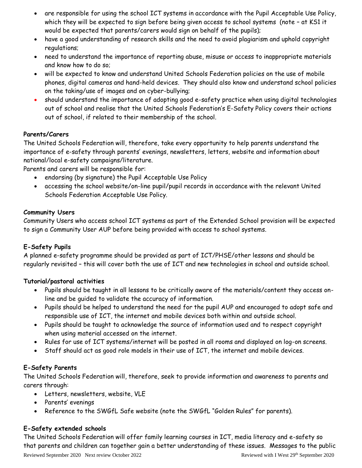- are responsible for using the school ICT systems in accordance with the Pupil Acceptable Use Policy, which they will be expected to sign before being given access to school systems (note – at KS1 it would be expected that parents/carers would sign on behalf of the pupils);
- have a good understanding of research skills and the need to avoid plagiarism and uphold copyright regulations;
- need to understand the importance of reporting abuse, misuse or access to inappropriate materials and know how to do so;
- will be expected to know and understand United Schools Federation policies on the use of mobile phones, digital cameras and hand-held devices. They should also know and understand school policies on the taking/use of images and on cyber-bullying;
- should understand the importance of adopting good e-safety practice when using digital technologies out of school and realise that the United Schools Federation's E-Safety Policy covers their actions out of school, if related to their membership of the school.

#### **Parents/Carers**

The United Schools Federation will, therefore, take every opportunity to help parents understand the importance of e-safety through parents' evenings, newsletters, letters, website and information about national/local e-safety campaigns/literature.

Parents and carers will be responsible for:

- endorsing (by signature) the Pupil Acceptable Use Policy
- accessing the school website/on-line pupil/pupil records in accordance with the relevant United Schools Federation Acceptable Use Policy.

## **Community Users**

Community Users who access school ICT systems as part of the Extended School provision will be expected to sign a Community User AUP before being provided with access to school systems.

## **E-Safety Pupils**

A planned e-safety programme should be provided as part of ICT/PHSE/other lessons and should be regularly revisited – this will cover both the use of ICT and new technologies in school and outside school.

## **Tutorial/pastoral activities**

- Pupils should be taught in all lessons to be critically aware of the materials/content they access online and be guided to validate the accuracy of information.
- Pupils should be helped to understand the need for the pupil AUP and encouraged to adopt safe and responsible use of ICT, the internet and mobile devices both within and outside school.
- Pupils should be taught to acknowledge the source of information used and to respect copyright when using material accessed on the internet.
- Rules for use of ICT systems/internet will be posted in all rooms and displayed on log-on screens.
- Staff should act as good role models in their use of ICT, the internet and mobile devices.

## **E-Safety Parents**

The United Schools Federation will, therefore, seek to provide information and awareness to parents and carers through:

- Letters, newsletters, website, VLE
- Parents' evenings
- Reference to the SWGfL Safe website (note the SWGfL "Golden Rules" for parents).

## **E-Safety extended schools**

Reviewed September 2020 Next review October 2022 Reviewed with I West 29th September 2020 The United Schools Federation will offer family learning courses in ICT, media literacy and e-safety so that parents and children can together gain a better understanding of these issues. Messages to the public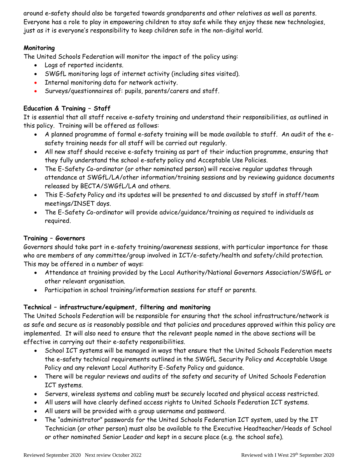around e-safety should also be targeted towards grandparents and other relatives as well as parents. Everyone has a role to play in empowering children to stay safe while they enjoy these new technologies, just as it is everyone's responsibility to keep children safe in the non-digital world.

## **Monitoring**

The United Schools Federation will monitor the impact of the policy using:

- Logs of reported incidents.
- SWGfL monitoring logs of internet activity (including sites visited).
- Internal monitoring data for network activity.
- Surveys/questionnaires of: pupils, parents/carers and staff.

## **Education & Training – Staff**

It is essential that all staff receive e-safety training and understand their responsibilities, as outlined in this policy. Training will be offered as follows:

- A planned programme of formal e-safety training will be made available to staff. An audit of the esafety training needs for all staff will be carried out regularly.
- All new staff should receive e-safety training as part of their induction programme, ensuring that they fully understand the school e-safety policy and Acceptable Use Policies.
- The E-Safety Co-ordinator (or other nominated person) will receive regular updates through attendance at SWGfL/LA/other information/training sessions and by reviewing guidance documents released by BECTA/SWGfL/LA and others.
- This E-Safety Policy and its updates will be presented to and discussed by staff in staff/team meetings/INSET days.
- The E-Safety Co-ordinator will provide advice/guidance/training as required to individuals as required.

## **Training – Governors**

Governors should take part in e-safety training/awareness sessions, with particular importance for those who are members of any committee/group involved in ICT/e-safety/health and safety/child protection. This may be offered in a number of ways:

- Attendance at training provided by the Local Authority/National Governors Association/SWGfL or other relevant organisation.
- Participation in school training/information sessions for staff or parents.

#### **Technical – infrastructure/equipment, filtering and monitoring**

The United Schools Federation will be responsible for ensuring that the school infrastructure/network is as safe and secure as is reasonably possible and that policies and procedures approved within this policy are implemented. It will also need to ensure that the relevant people named in the above sections will be effective in carrying out their e-safety responsibilities.

- School ICT systems will be managed in ways that ensure that the United Schools Federation meets the e-safety technical requirements outlined in the SWGfL Security Policy and Acceptable Usage Policy and any relevant Local Authority E-Safety Policy and guidance.
- There will be regular reviews and audits of the safety and security of United Schools Federation ICT systems.
- Servers, wireless systems and cabling must be securely located and physical access restricted.
- All users will have clearly defined access rights to United Schools Federation ICT systems.
- All users will be provided with a group username and password.
- The "administrator" passwords for the United Schools Federation ICT system, used by the IT Technician (or other person) must also be available to the Executive Headteacher/Heads of School or other nominated Senior Leader and kept in a secure place (e.g. the school safe).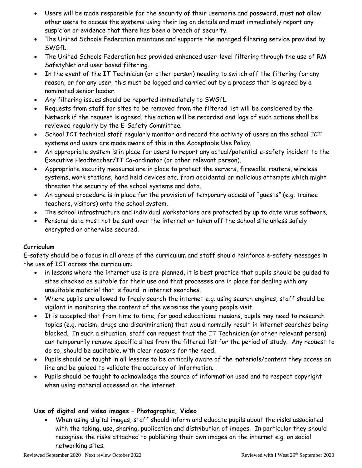- Users will be made responsible for the security of their username and password, must not allow other users to access the systems using their log on details and must immediately report any suspicion or evidence that there has been a breach of security.
- The United Schools Federation maintains and supports the managed filtering service provided by SWGfL.
- The United Schools Federation has provided enhanced user-level filtering through the use of RM SafetyNet and user based filtering.
- In the event of the IT Technician (or other person) needing to switch off the filtering for any reason, or for any user, this must be logged and carried out by a process that is agreed by a nominated senior leader.
- Any filtering issues should be reported immediately to SWGfL.
- Requests from staff for sites to be removed from the filtered list will be considered by the Network if the request is agreed, this action will be recorded and logs of such actions shall be reviewed regularly by the E-Safety Committee.
- School ICT technical staff regularly monitor and record the activity of users on the school ICT systems and users are made aware of this in the Acceptable Use Policy.
- An appropriate system is in place for users to report any actual/potential e-safety incident to the Executive Headteacher/IT Co-ordinator (or other relevant person).
- Appropriate security measures are in place to protect the servers, firewalls, routers, wireless systems, work stations, hand held devices etc. from accidental or malicious attempts which might threaten the security of the school systems and data.
- An agreed procedure is in place for the provision of temporary access of "guests" (e.g. trainee teachers, visitors) onto the school system.
- The school infrastructure and individual workstations are protected by up to date virus software.
- Personal data must not be sent over the internet or taken off the school site unless safely encrypted or otherwise secured.

#### **Curriculum**

E-safety should be a focus in all areas of the curriculum and staff should reinforce e-safety messages in the use of ICT across the curriculum:

- in lessons where the internet use is pre-planned, it is best practice that pupils should be guided to sites checked as suitable for their use and that processes are in place for dealing with any unsuitable material that is found in internet searches.
- Where pupils are allowed to freely search the internet e.g. using search engines, staff should be vigilant in monitoring the content of the websites the young people visit.
- It is accepted that from time to time, for good educational reasons, pupils may need to research topics (e.g. racism, drugs and discrimination) that would normally result in internet searches being blocked. In such a situation, staff can request that the IT Technician (or other relevant person) can temporarily remove specific sites from the filtered list for the period of study. Any request to do so, should be auditable, with clear reasons for the need.
- Pupils should be taught in all lessons to be critically aware of the materials/content they access on line and be guided to validate the accuracy of information.
- Pupils should be taught to acknowledge the source of information used and to respect copyright when using material accessed on the internet.

#### **Use of digital and video images – Photographic, Video**

• When using digital images, staff should inform and educate pupils about the risks associated with the taking, use, sharing, publication and distribution of images. In particular they should recognise the risks attached to publishing their own images on the internet e.g. on social networking sites.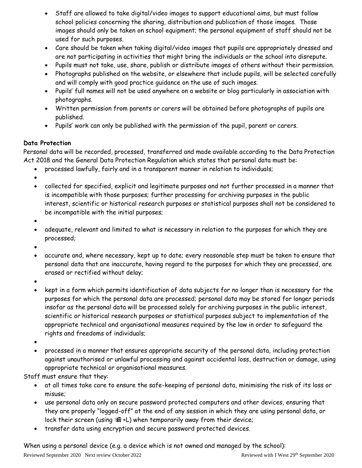- Staff are allowed to take digital/video images to support educational aims, but must follow school policies concerning the sharing, distribution and publication of those images. Those images should only be taken on school equipment; the personal equipment of staff should not be used for such purposes.
- Care should be taken when taking digital/video images that pupils are appropriately dressed and are not participating in activities that might bring the individuals or the school into disrepute.
- Pupils must not take, use, share, publish or distribute images of others without their permission.
- Photographs published on the website, or elsewhere that include pupils, will be selected carefully and will comply with good practice guidance on the use of such images.
- Pupils' full names will not be used anywhere on a website or blog particularly in association with photographs.
- Written permission from parents or carers will be obtained before photographs of pupils are published.
- Pupils' work can only be published with the permission of the pupil, parent or carers.

#### **Data Protection**

Personal data will be recorded, processed, transferred and made available according to the Data Protection Act 2018 and the General Data Protection Regulation which states that personal data must be:

- processed lawfully, fairly and in a transparent manner in relation to individuals;
- •
- collected for specified, explicit and legitimate purposes and not further processed in a manner that is incompatible with those purposes; further processing for archiving purposes in the public interest, scientific or historical research purposes or statistical purposes shall not be considered to be incompatible with the initial purposes;
- •
- adequate, relevant and limited to what is necessary in relation to the purposes for which they are processed;
- •
- accurate and, where necessary, kept up to date; every reasonable step must be taken to ensure that personal data that are inaccurate, having regard to the purposes for which they are processed, are erased or rectified without delay;
- •
- kept in a form which permits identification of data subjects for no longer than is necessary for the purposes for which the personal data are processed; personal data may be stored for longer periods insofar as the personal data will be processed solely for archiving purposes in the public interest, scientific or historical research purposes or statistical purposes subject to implementation of the appropriate technical and organisational measures required by the law in order to safeguard the rights and freedoms of individuals;
- •
- processed in a manner that ensures appropriate security of the personal data, including protection against unauthorised or unlawful processing and against accidental loss, destruction or damage, using appropriate technical or organisational measures.

Staff must ensure that they:

- at all times take care to ensure the safe-keeping of personal data, minimising the risk of its loss or misuse;
- use personal data only on secure password protected computers and other devices, ensuring that they are properly "logged-off" at the end of any session in which they are using personal data, or lock their screen (using +L) when temporarily away from their device;
- transfer data using encryption and secure password protected devices.

When using a personal device (e.g. a device which is not owned and managed by the school):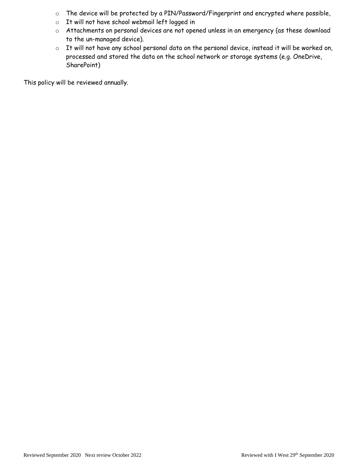- o The device will be protected by a PIN/Password/Fingerprint and encrypted where possible,
- o It will not have school webmail left logged in
- o Attachments on personal devices are not opened unless in an emergency (as these download to the un-managed device).
- o It will not have any school personal data on the personal device, instead it will be worked on, processed and stored the data on the school network or storage systems (e.g. OneDrive, SharePoint)

This policy will be reviewed annually.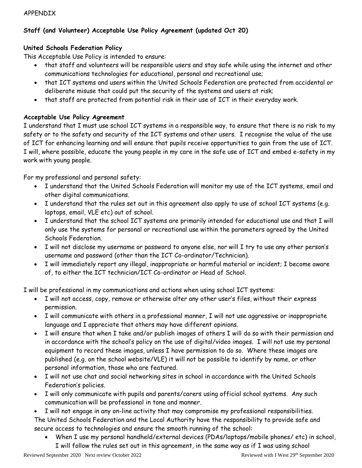#### APPENDIX

## **Staff (and Volunteer) Acceptable Use Policy Agreement (updated Oct 20)**

#### **United Schools Federation Policy**

This Acceptable Use Policy is intended to ensure:

- that staff and volunteers will be responsible users and stay safe while using the internet and other communications technologies for educational, personal and recreational use;
- that ICT systems and users within the United Schools Federation are protected from accidental or deliberate misuse that could put the security of the systems and users at risk;
- that staff are protected from potential risk in their use of ICT in their everyday work.

#### **Acceptable Use Policy Agreement**

I understand that I must use school ICT systems in a responsible way, to ensure that there is no risk to my safety or to the safety and security of the ICT systems and other users. I recognise the value of the use of ICT for enhancing learning and will ensure that pupils receive opportunities to gain from the use of ICT. I will, where possible, educate the young people in my care in the safe use of ICT and embed e-safety in my work with young people.

For my professional and personal safety:

- I understand that the United Schools Federation will monitor my use of the ICT systems, email and other digital communications.
- I understand that the rules set out in this agreement also apply to use of school ICT systems (e.g. laptops, email, VLE etc) out of school.
- I understand that the school ICT systems are primarily intended for educational use and that I will only use the systems for personal or recreational use within the parameters agreed by the United Schools Federation.
- I will not disclose my username or password to anyone else, nor will I try to use any other person's username and password (other than the ICT Co-ordinator/Technician).
- I will immediately report any illegal, inappropriate or harmful material or incident; I become aware of, to either the ICT technician/ICT Co-ordinator or Head of School.

I will be professional in my communications and actions when using school ICT systems:

- I will not access, copy, remove or otherwise alter any other user's files, without their express permission.
- I will communicate with others in a professional manner, I will not use aggressive or inappropriate language and I appreciate that others may have different opinions.
- I will ensure that when I take and/or publish images of others I will do so with their permission and in accordance with the school's policy on the use of digital/video images. I will not use my personal equipment to record these images, unless I have permission to do so. Where these images are published (e.g. on the school website/VLE) it will not be possible to identify by name, or other personal information, those who are featured.
- I will not use chat and social networking sites in school in accordance with the United Schools Federation's policies.
- I will only communicate with pupils and parents/carers using official school systems. Any such communication will be professional in tone and manner.
- I will not engage in any on-line activity that may compromise my professional responsibilities. The United Schools Federation and the Local Authority have the responsibility to provide safe and secure access to technologies and ensure the smooth running of the school:
	- When I use my personal handheld/external devices (PDAs/laptops/mobile phones/ etc) in school, I will follow the rules set out in this agreement, in the same way as if I was using school